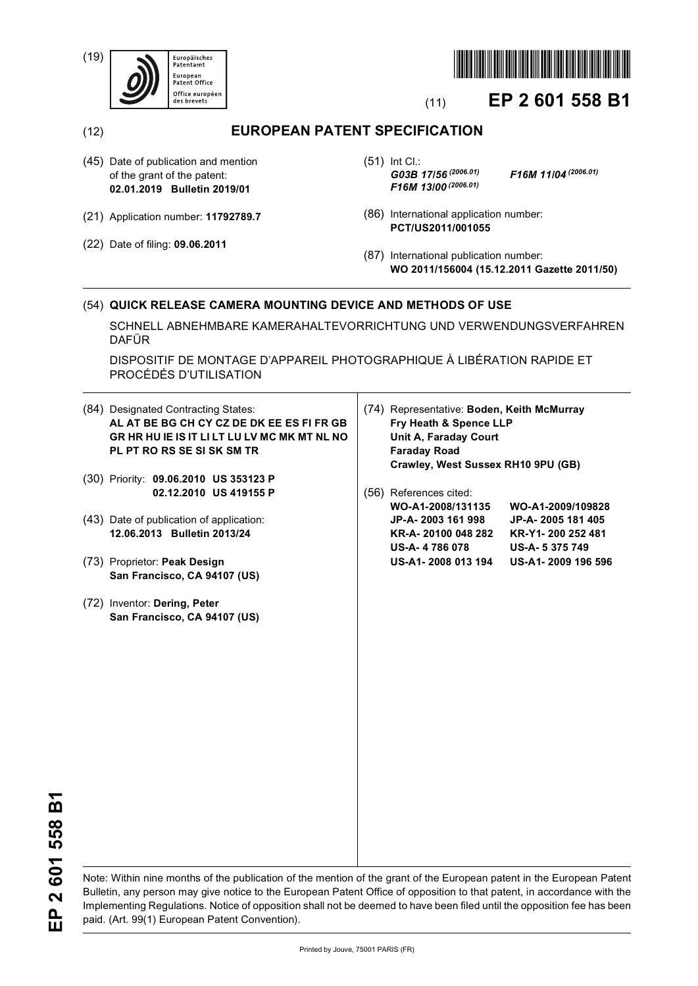(19)





# (11) **EP 2 601 558 B1**

(12) **EUROPEAN PATENT SPECIFICATION**

- (45) Date of publication and mention of the grant of the patent: **02.01.2019 Bulletin 2019/01**
- (21) Application number: **11792789.7**
- (22) Date of filing: **09.06.2011**

(51) Int Cl.: *G03B 17/56 (2006.01) F16M 11/04 (2006.01) F16M 13/00 (2006.01)*

- (86) International application number: **PCT/US2011/001055**
- (87) International publication number: **WO 2011/156004 (15.12.2011 Gazette 2011/50)**

# (54) **QUICK RELEASE CAMERA MOUNTING DEVICE AND METHODS OF USE**

SCHNELL ABNEHMBARE KAMERAHALTEVORRICHTUNG UND VERWENDUNGSVERFAHREN DAFÜR

DISPOSITIF DE MONTAGE D'APPAREIL PHOTOGRAPHIQUE À LIBÉRATION RAPIDE ET PROCÉDÉS D'UTILISATION

(84) Designated Contracting States: **AL AT BE BG CH CY CZ DE DK EE ES FI FR GB GR HR HU IE IS IT LI LT LU LV MC MK MT NL NO PL PT RO RS SE SI SK SM TR** (30) Priority: **09.06.2010 US 353123 P 02.12.2010 US 419155 P** (43) Date of publication of application: **12.06.2013 Bulletin 2013/24** (73) Proprietor: **Peak Design San Francisco, CA 94107 (US)** (72) Inventor: **Dering, Peter San Francisco, CA 94107 (US)** (74) Representative: **Boden, Keith McMurray Fry Heath & Spence LLP Unit A, Faraday Court Faraday Road Crawley, West Sussex RH10 9PU (GB)** (56) References cited: **WO-A1-2008/131135 WO-A1-2009/109828 JP-A- 2003 161 998 JP-A- 2005 181 405 KR-A- 20100 048 282 KR-Y1- 200 252 481 US-A- 4 786 078 US-A- 5 375 749 US-A1- 2008 013 194 US-A1- 2009 196 596**

2601558B1 **EP 2 601 558 B1** 。<br>田

Note: Within nine months of the publication of the mention of the grant of the European patent in the European Patent Bulletin, any person may give notice to the European Patent Office of opposition to that patent, in accordance with the Implementing Regulations. Notice of opposition shall not be deemed to have been filed until the opposition fee has been paid. (Art. 99(1) European Patent Convention).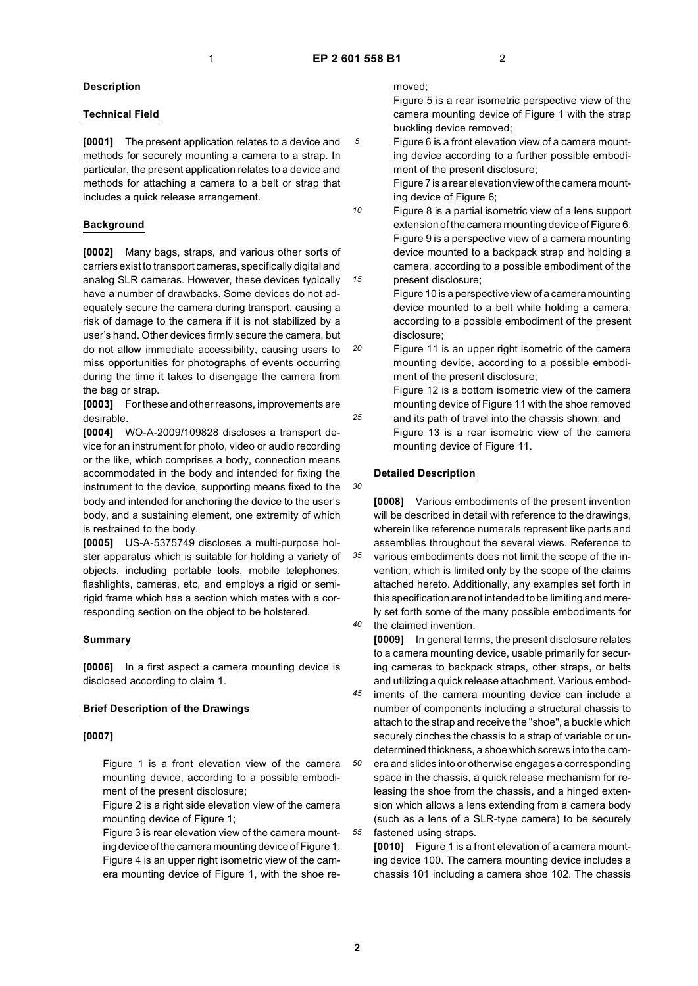*5*

*10*

*15*

*20*

*25*

*30*

#### **Description**

# **Technical Field**

**[0001]** The present application relates to a device and methods for securely mounting a camera to a strap. In particular, the present application relates to a device and methods for attaching a camera to a belt or strap that includes a quick release arrangement.

#### **Background**

**[0002]** Many bags, straps, and various other sorts of carriers exist to transport cameras, specifically digital and analog SLR cameras. However, these devices typically have a number of drawbacks. Some devices do not adequately secure the camera during transport, causing a risk of damage to the camera if it is not stabilized by a user's hand. Other devices firmly secure the camera, but do not allow immediate accessibility, causing users to miss opportunities for photographs of events occurring during the time it takes to disengage the camera from the bag or strap.

**[0003]** For these and other reasons, improvements are desirable.

**[0004]** WO-A-2009/109828 discloses a transport device for an instrument for photo, video or audio recording or the like, which comprises a body, connection means accommodated in the body and intended for fixing the instrument to the device, supporting means fixed to the body and intended for anchoring the device to the user's body, and a sustaining element, one extremity of which is restrained to the body.

**[0005]** US-A-5375749 discloses a multi-purpose holster apparatus which is suitable for holding a variety of objects, including portable tools, mobile telephones, flashlights, cameras, etc, and employs a rigid or semirigid frame which has a section which mates with a corresponding section on the object to be holstered.

#### **Summary**

**[0006]** In a first aspect a camera mounting device is disclosed according to claim 1.

#### **Brief Description of the Drawings**

#### **[0007]**

Figure 1 is a front elevation view of the camera mounting device, according to a possible embodiment of the present disclosure;

Figure 2 is a right side elevation view of the camera mounting device of Figure 1;

Figure 3 is rear elevation view of the camera mounting device of the camera mounting device of Figure 1; Figure 4 is an upper right isometric view of the camera mounting device of Figure 1, with the shoe removed;

Figure 5 is a rear isometric perspective view of the camera mounting device of Figure 1 with the strap buckling device removed;

Figure 6 is a front elevation view of a camera mounting device according to a further possible embodiment of the present disclosure;

Figure 7 is a rear elevation view of the camera mounting device of Figure 6;

Figure 8 is a partial isometric view of a lens support extension of the camera mounting device of Figure 6; Figure 9 is a perspective view of a camera mounting device mounted to a backpack strap and holding a camera, according to a possible embodiment of the present disclosure;

Figure 10 is a perspective view of a camera mounting device mounted to a belt while holding a camera, according to a possible embodiment of the present disclosure;

Figure 11 is an upper right isometric of the camera mounting device, according to a possible embodiment of the present disclosure;

Figure 12 is a bottom isometric view of the camera mounting device of Figure 11 with the shoe removed and its path of travel into the chassis shown; and Figure 13 is a rear isometric view of the camera mounting device of Figure 11.

#### **Detailed Description**

*35 40* **[0008]** Various embodiments of the present invention will be described in detail with reference to the drawings, wherein like reference numerals represent like parts and assemblies throughout the several views. Reference to various embodiments does not limit the scope of the invention, which is limited only by the scope of the claims attached hereto. Additionally, any examples set forth in this specification are not intended to be limiting and merely set forth some of the many possible embodiments for the claimed invention.

**[0009]** In general terms, the present disclosure relates to a camera mounting device, usable primarily for securing cameras to backpack straps, other straps, or belts and utilizing a quick release attachment. Various embod-

*45 50* iments of the camera mounting device can include a number of components including a structural chassis to attach to the strap and receive the "shoe", a buckle which securely cinches the chassis to a strap of variable or undetermined thickness, a shoe which screws into the cam-

era and slides into or otherwise engages a corresponding space in the chassis, a quick release mechanism for releasing the shoe from the chassis, and a hinged extension which allows a lens extending from a camera body (such as a lens of a SLR-type camera) to be securely fastened using straps.

**[0010]** Figure 1 is a front elevation of a camera mounting device 100. The camera mounting device includes a chassis 101 including a camera shoe 102. The chassis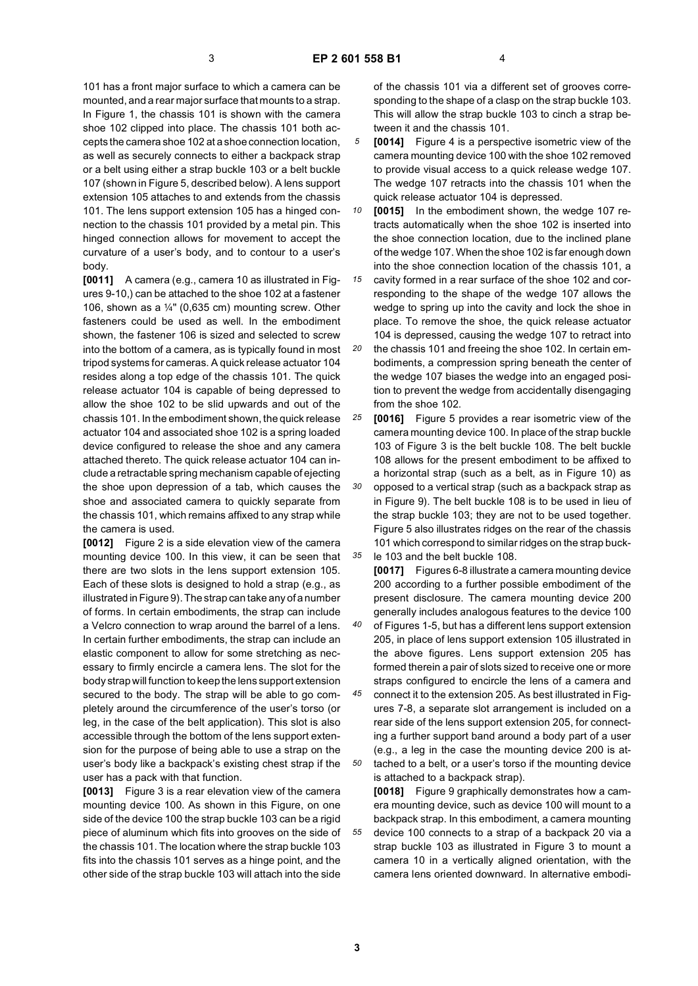101 has a front major surface to which a camera can be mounted, and a rear major surface that mounts to a strap. In Figure 1, the chassis 101 is shown with the camera shoe 102 clipped into place. The chassis 101 both accepts the camera shoe 102 at a shoe connection location, as well as securely connects to either a backpack strap or a belt using either a strap buckle 103 or a belt buckle 107 (shown in Figure 5, described below). A lens support extension 105 attaches to and extends from the chassis 101. The lens support extension 105 has a hinged connection to the chassis 101 provided by a metal pin. This hinged connection allows for movement to accept the curvature of a user's body, and to contour to a user's body.

**[0011]** A camera (e.g., camera 10 as illustrated in Figures 9-10,) can be attached to the shoe 102 at a fastener 106, shown as a  $\frac{1}{4}$ " (0,635 cm) mounting screw. Other fasteners could be used as well. In the embodiment shown, the fastener 106 is sized and selected to screw into the bottom of a camera, as is typically found in most tripod systems for cameras. A quick release actuator 104 resides along a top edge of the chassis 101. The quick release actuator 104 is capable of being depressed to allow the shoe 102 to be slid upwards and out of the chassis 101. In the embodiment shown, the quick release actuator 104 and associated shoe 102 is a spring loaded device configured to release the shoe and any camera attached thereto. The quick release actuator 104 can include a retractable spring mechanism capable of ejecting the shoe upon depression of a tab, which causes the shoe and associated camera to quickly separate from the chassis 101, which remains affixed to any strap while the camera is used.

**[0012]** Figure 2 is a side elevation view of the camera mounting device 100. In this view, it can be seen that there are two slots in the lens support extension 105. Each of these slots is designed to hold a strap (e.g., as illustrated in Figure 9). The strap can take any of a number of forms. In certain embodiments, the strap can include a Velcro connection to wrap around the barrel of a lens. In certain further embodiments, the strap can include an elastic component to allow for some stretching as necessary to firmly encircle a camera lens. The slot for the body strap will function to keep the lens support extension secured to the body. The strap will be able to go completely around the circumference of the user's torso (or leg, in the case of the belt application). This slot is also accessible through the bottom of the lens support extension for the purpose of being able to use a strap on the user's body like a backpack's existing chest strap if the user has a pack with that function.

**[0013]** Figure 3 is a rear elevation view of the camera mounting device 100. As shown in this Figure, on one side of the device 100 the strap buckle 103 can be a rigid piece of aluminum which fits into grooves on the side of the chassis 101. The location where the strap buckle 103 fits into the chassis 101 serves as a hinge point, and the other side of the strap buckle 103 will attach into the side

of the chassis 101 via a different set of grooves corresponding to the shape of a clasp on the strap buckle 103. This will allow the strap buckle 103 to cinch a strap between it and the chassis 101.

- *5* **[0014]** Figure 4 is a perspective isometric view of the camera mounting device 100 with the shoe 102 removed to provide visual access to a quick release wedge 107. The wedge 107 retracts into the chassis 101 when the quick release actuator 104 is depressed.
- *10* **[0015]** In the embodiment shown, the wedge 107 retracts automatically when the shoe 102 is inserted into the shoe connection location, due to the inclined plane of the wedge 107. When the shoe 102 is far enough down into the shoe connection location of the chassis 101, a

*15* cavity formed in a rear surface of the shoe 102 and corresponding to the shape of the wedge 107 allows the wedge to spring up into the cavity and lock the shoe in place. To remove the shoe, the quick release actuator 104 is depressed, causing the wedge 107 to retract into

*20* the chassis 101 and freeing the shoe 102. In certain embodiments, a compression spring beneath the center of the wedge 107 biases the wedge into an engaged position to prevent the wedge from accidentally disengaging from the shoe 102.

*25* **[0016]** Figure 5 provides a rear isometric view of the camera mounting device 100. In place of the strap buckle 103 of Figure 3 is the belt buckle 108. The belt buckle 108 allows for the present embodiment to be affixed to a horizontal strap (such as a belt, as in Figure 10) as

*30 35* opposed to a vertical strap (such as a backpack strap as in Figure 9). The belt buckle 108 is to be used in lieu of the strap buckle 103; they are not to be used together. Figure 5 also illustrates ridges on the rear of the chassis 101 which correspond to similar ridges on the strap buckle 103 and the belt buckle 108.

*40* **[0017]** Figures 6-8 illustrate a camera mounting device 200 according to a further possible embodiment of the present disclosure. The camera mounting device 200 generally includes analogous features to the device 100 of Figures 1-5, but has a different lens support extension 205, in place of lens support extension 105 illustrated in the above figures. Lens support extension 205 has formed therein a pair of slots sized to receive one or more straps configured to encircle the lens of a camera and

*45 50* connect it to the extension 205. As best illustrated in Figures 7-8, a separate slot arrangement is included on a rear side of the lens support extension 205, for connecting a further support band around a body part of a user (e.g., a leg in the case the mounting device 200 is attached to a belt, or a user's torso if the mounting device is attached to a backpack strap).

**[0018]** Figure 9 graphically demonstrates how a camera mounting device, such as device 100 will mount to a backpack strap. In this embodiment, a camera mounting device 100 connects to a strap of a backpack 20 via a strap buckle 103 as illustrated in Figure 3 to mount a camera 10 in a vertically aligned orientation, with the camera lens oriented downward. In alternative embodi-

**3**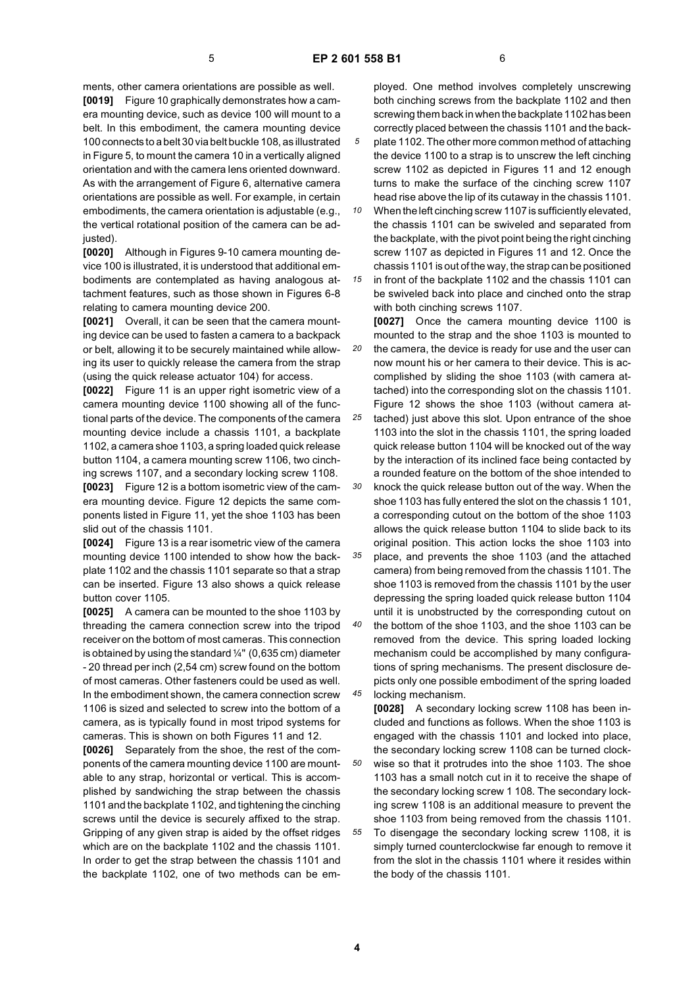ments, other camera orientations are possible as well. **[0019]** Figure 10 graphically demonstrates how a camera mounting device, such as device 100 will mount to a belt. In this embodiment, the camera mounting device 100 connects to a belt 30 via belt buckle 108, as illustrated in Figure 5, to mount the camera 10 in a vertically aligned orientation and with the camera lens oriented downward. As with the arrangement of Figure 6, alternative camera orientations are possible as well. For example, in certain embodiments, the camera orientation is adjustable (e.g., the vertical rotational position of the camera can be adjusted).

**[0020]** Although in Figures 9-10 camera mounting device 100 is illustrated, it is understood that additional embodiments are contemplated as having analogous attachment features, such as those shown in Figures 6-8 relating to camera mounting device 200.

**[0021]** Overall, it can be seen that the camera mounting device can be used to fasten a camera to a backpack or belt, allowing it to be securely maintained while allowing its user to quickly release the camera from the strap (using the quick release actuator 104) for access.

**[0022]** Figure 11 is an upper right isometric view of a camera mounting device 1100 showing all of the functional parts of the device. The components of the camera mounting device include a chassis 1101, a backplate 1102, a camera shoe 1103, a spring loaded quick release button 1104, a camera mounting screw 1106, two cinching screws 1107, and a secondary locking screw 1108. **[0023]** Figure 12 is a bottom isometric view of the camera mounting device. Figure 12 depicts the same components listed in Figure 11, yet the shoe 1103 has been

slid out of the chassis 1101. **[0024]** Figure 13 is a rear isometric view of the camera mounting device 1100 intended to show how the backplate 1102 and the chassis 1101 separate so that a strap can be inserted. Figure 13 also shows a quick release button cover 1105.

**[0025]** A camera can be mounted to the shoe 1103 by threading the camera connection screw into the tripod receiver on the bottom of most cameras. This connection is obtained by using the standard  $\frac{1}{4}$ " (0,635 cm) diameter - 20 thread per inch (2,54 cm) screw found on the bottom of most cameras. Other fasteners could be used as well. In the embodiment shown, the camera connection screw 1106 is sized and selected to screw into the bottom of a camera, as is typically found in most tripod systems for cameras. This is shown on both Figures 11 and 12.

**[0026]** Separately from the shoe, the rest of the components of the camera mounting device 1100 are mountable to any strap, horizontal or vertical. This is accomplished by sandwiching the strap between the chassis 1101 and the backplate 1102, and tightening the cinching screws until the device is securely affixed to the strap. Gripping of any given strap is aided by the offset ridges which are on the backplate 1102 and the chassis 1101. In order to get the strap between the chassis 1101 and the backplate 1102, one of two methods can be employed. One method involves completely unscrewing both cinching screws from the backplate 1102 and then screwing them back in when the backplate 1102 has been correctly placed between the chassis 1101 and the back-

*5* plate 1102. The other more common method of attaching the device 1100 to a strap is to unscrew the left cinching screw 1102 as depicted in Figures 11 and 12 enough turns to make the surface of the cinching screw 1107 head rise above the lip of its cutaway in the chassis 1101.

*10 15* When the left cinching screw 1107 is sufficiently elevated, the chassis 1101 can be swiveled and separated from the backplate, with the pivot point being the right cinching screw 1107 as depicted in Figures 11 and 12. Once the chassis 1101 is out of the way, the strap can be positioned in front of the backplate 1102 and the chassis 1101 can

be swiveled back into place and cinched onto the strap with both cinching screws 1107.

*20* **[0027]** Once the camera mounting device 1100 is mounted to the strap and the shoe 1103 is mounted to the camera, the device is ready for use and the user can now mount his or her camera to their device. This is accomplished by sliding the shoe 1103 (with camera attached) into the corresponding slot on the chassis 1101. Figure 12 shows the shoe 1103 (without camera at-

*25 30* tached) just above this slot. Upon entrance of the shoe 1103 into the slot in the chassis 1101, the spring loaded quick release button 1104 will be knocked out of the way by the interaction of its inclined face being contacted by a rounded feature on the bottom of the shoe intended to

*35* knock the quick release button out of the way. When the shoe 1103 has fully entered the slot on the chassis 1 101, a corresponding cutout on the bottom of the shoe 1103 allows the quick release button 1104 to slide back to its original position. This action locks the shoe 1103 into

place, and prevents the shoe 1103 (and the attached camera) from being removed from the chassis 1101. The shoe 1103 is removed from the chassis 1101 by the user depressing the spring loaded quick release button 1104 until it is unobstructed by the corresponding cutout on the bottom of the shoe 1103, and the shoe 1103 can be

*45* removed from the device. This spring loaded locking mechanism could be accomplished by many configurations of spring mechanisms. The present disclosure depicts only one possible embodiment of the spring loaded locking mechanism.

**[0028]** A secondary locking screw 1108 has been included and functions as follows. When the shoe 1103 is engaged with the chassis 1101 and locked into place, the secondary locking screw 1108 can be turned clockwise so that it protrudes into the shoe 1103. The shoe 1103 has a small notch cut in it to receive the shape of the secondary locking screw 1 108. The secondary locking screw 1108 is an additional measure to prevent the shoe 1103 from being removed from the chassis 1101. To disengage the secondary locking screw 1108, it is simply turned counterclockwise far enough to remove it from the slot in the chassis 1101 where it resides within the body of the chassis 1101.

*40*

*50*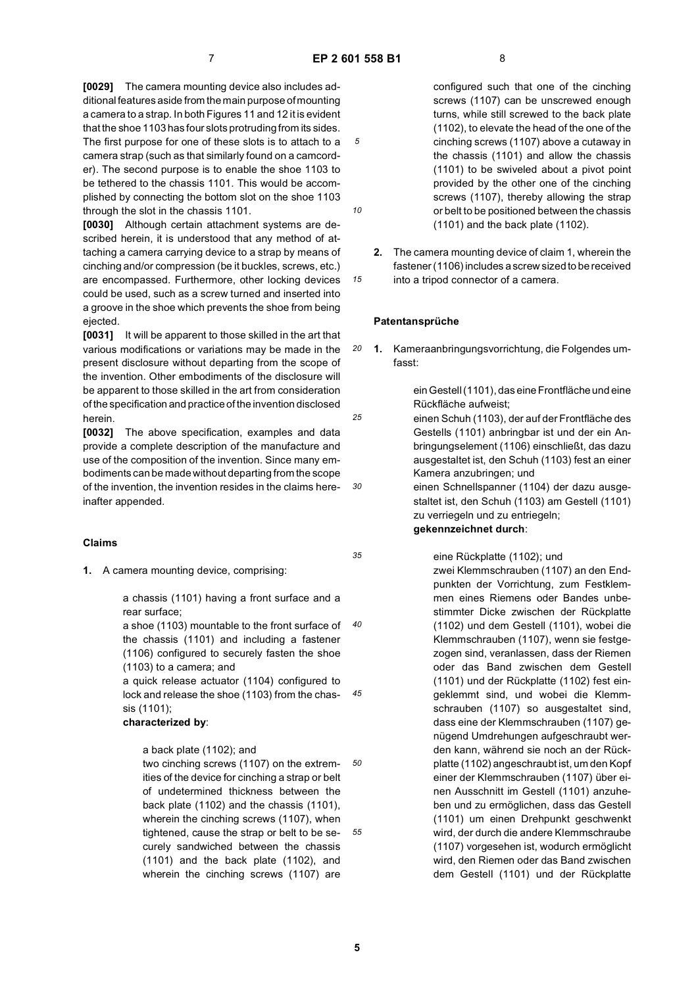*5*

*10*

*15*

*25*

*30*

*35*

**[0029]** The camera mounting device also includes additional features aside from the main purpose of mounting a camera to a strap. In both Figures 11 and 12 it is evident that the shoe 1103 has four slots protruding from its sides. The first purpose for one of these slots is to attach to a camera strap (such as that similarly found on a camcorder). The second purpose is to enable the shoe 1103 to be tethered to the chassis 1101. This would be accomplished by connecting the bottom slot on the shoe 1103 through the slot in the chassis 1101.

**[0030]** Although certain attachment systems are described herein, it is understood that any method of attaching a camera carrying device to a strap by means of cinching and/or compression (be it buckles, screws, etc.) are encompassed. Furthermore, other locking devices could be used, such as a screw turned and inserted into a groove in the shoe which prevents the shoe from being ejected.

**[0031]** It will be apparent to those skilled in the art that various modifications or variations may be made in the present disclosure without departing from the scope of the invention. Other embodiments of the disclosure will be apparent to those skilled in the art from consideration of the specification and practice of the invention disclosed herein.

**[0032]** The above specification, examples and data provide a complete description of the manufacture and use of the composition of the invention. Since many embodiments can be made without departing from the scope of the invention, the invention resides in the claims hereinafter appended.

#### **Claims**

**1.** A camera mounting device, comprising:

a chassis (1101) having a front surface and a rear surface;

*40* a shoe (1103) mountable to the front surface of the chassis (1101) and including a fastener (1106) configured to securely fasten the shoe (1103) to a camera; and

*45* a quick release actuator (1104) configured to lock and release the shoe (1103) from the chassis (1101);

#### **characterized by**:

a back plate (1102); and

*50 55* two cinching screws (1107) on the extremities of the device for cinching a strap or belt of undetermined thickness between the back plate (1102) and the chassis (1101), wherein the cinching screws (1107), when tightened, cause the strap or belt to be securely sandwiched between the chassis (1101) and the back plate (1102), and wherein the cinching screws (1107) are

configured such that one of the cinching screws (1107) can be unscrewed enough turns, while still screwed to the back plate (1102), to elevate the head of the one of the cinching screws (1107) above a cutaway in the chassis (1101) and allow the chassis (1101) to be swiveled about a pivot point provided by the other one of the cinching screws (1107), thereby allowing the strap or belt to be positioned between the chassis (1101) and the back plate (1102).

**2.** The camera mounting device of claim 1, wherein the fastener (1106) includes a screw sized to be received into a tripod connector of a camera.

#### **Patentansprüche**

*20* **1.** Kameraanbringungsvorrichtung, die Folgendes umfasst:

> ein Gestell (1101), das eine Frontfläche und eine Rückfläche aufweist;

einen Schuh (1103), der auf der Frontfläche des Gestells (1101) anbringbar ist und der ein Anbringungselement (1106) einschließt, das dazu ausgestaltet ist, den Schuh (1103) fest an einer Kamera anzubringen; und

einen Schnellspanner (1104) der dazu ausgestaltet ist, den Schuh (1103) am Gestell (1101) zu verriegeln und zu entriegeln; **gekennzeichnet durch**:

eine Rückplatte (1102); und

zwei Klemmschrauben (1107) an den Endpunkten der Vorrichtung, zum Festklemmen eines Riemens oder Bandes unbestimmter Dicke zwischen der Rückplatte (1102) und dem Gestell (1101), wobei die Klemmschrauben (1107), wenn sie festgezogen sind, veranlassen, dass der Riemen oder das Band zwischen dem Gestell (1101) und der Rückplatte (1102) fest eingeklemmt sind, und wobei die Klemmschrauben (1107) so ausgestaltet sind, dass eine der Klemmschrauben (1107) genügend Umdrehungen aufgeschraubt werden kann, während sie noch an der Rückplatte (1102) angeschraubt ist, um den Kopf einer der Klemmschrauben (1107) über einen Ausschnitt im Gestell (1101) anzuheben und zu ermöglichen, dass das Gestell (1101) um einen Drehpunkt geschwenkt wird, der durch die andere Klemmschraube (1107) vorgesehen ist, wodurch ermöglicht wird, den Riemen oder das Band zwischen dem Gestell (1101) und der Rückplatte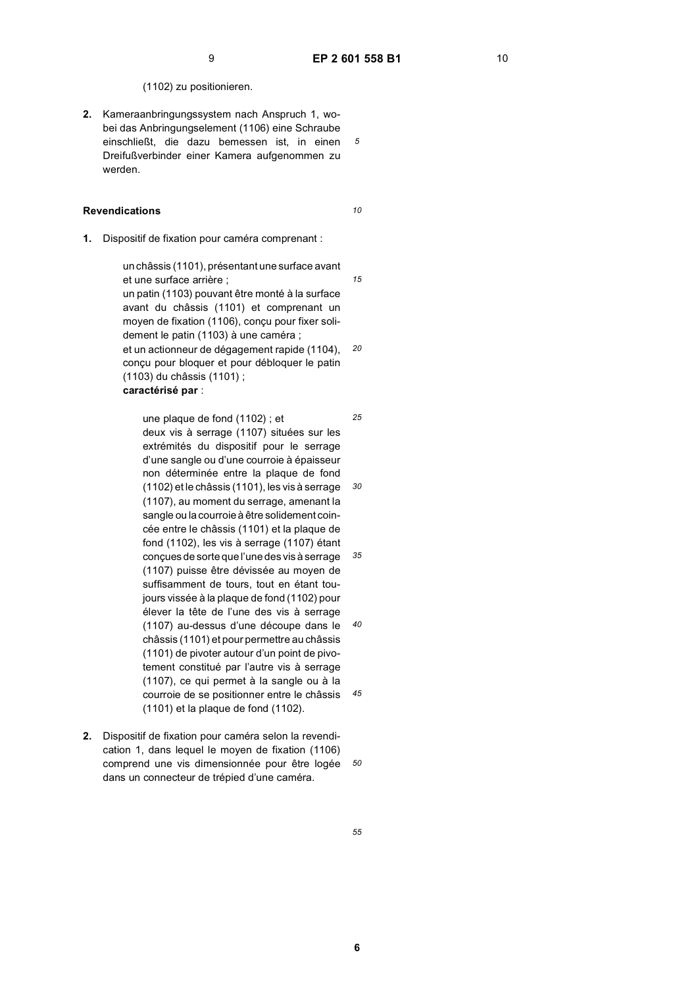*5*

(1102) zu positionieren.

**2.** Kameraanbringungssystem nach Anspruch 1, wobei das Anbringungselement (1106) eine Schraube einschließt, die dazu bemessen ist, in einen Dreifußverbinder einer Kamera aufgenommen zu werden.

# **Revendications**

*10*

*15*

**1.** Dispositif de fixation pour caméra comprenant :

un châssis (1101), présentant une surface avant et une surface arrière ; un patin (1103) pouvant être monté à la surface avant du châssis (1101) et comprenant un moyen de fixation (1106), conçu pour fixer solidement le patin (1103) à une caméra ;

*20* et un actionneur de dégagement rapide (1104), conçu pour bloquer et pour débloquer le patin (1103) du châssis (1101) ;

**caractérisé par** :

*25 30 35 40 45* une plaque de fond (1102) ; et deux vis à serrage (1107) situées sur les extrémités du dispositif pour le serrage d'une sangle ou d'une courroie à épaisseur non déterminée entre la plaque de fond (1102) et le châssis (1101), les vis à serrage (1107), au moment du serrage, amenant la sangle ou la courroie à être solidement coincée entre le châssis (1101) et la plaque de fond (1102), les vis à serrage (1107) étant conçues de sorte que l'une des vis à serrage (1107) puisse être dévissée au moyen de suffisamment de tours, tout en étant toujours vissée à la plaque de fond (1102) pour élever la tête de l'une des vis à serrage (1107) au-dessus d'une découpe dans le châssis (1101) et pour permettre au châssis (1101) de pivoter autour d'un point de pivotement constitué par l'autre vis à serrage (1107), ce qui permet à la sangle ou à la courroie de se positionner entre le châssis (1101) et la plaque de fond (1102).

*50* **2.** Dispositif de fixation pour caméra selon la revendication 1, dans lequel le moyen de fixation (1106) comprend une vis dimensionnée pour être logée dans un connecteur de trépied d'une caméra.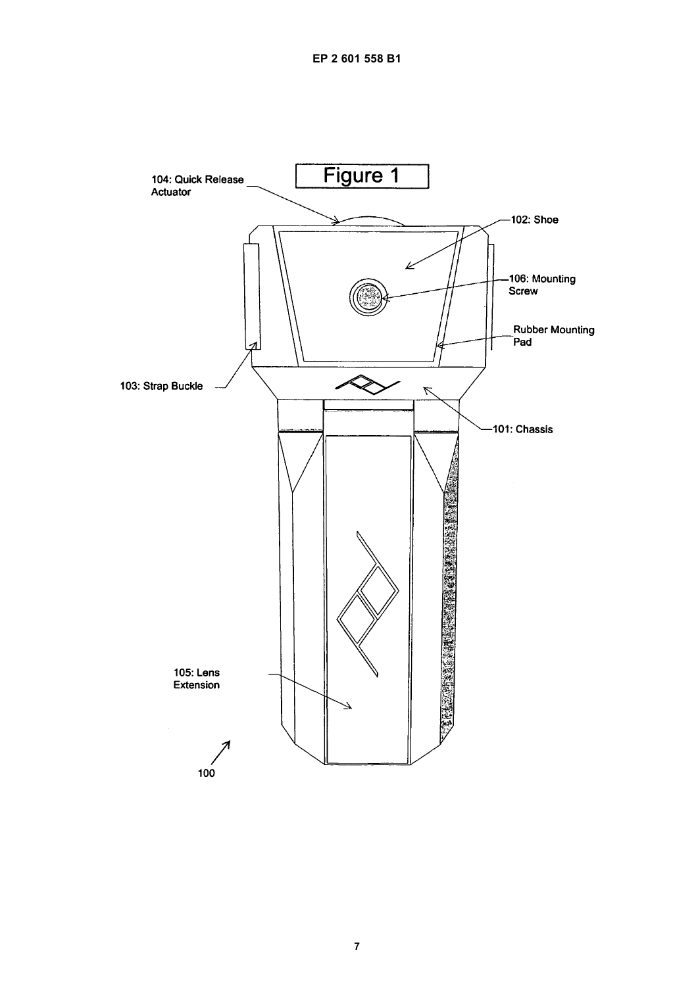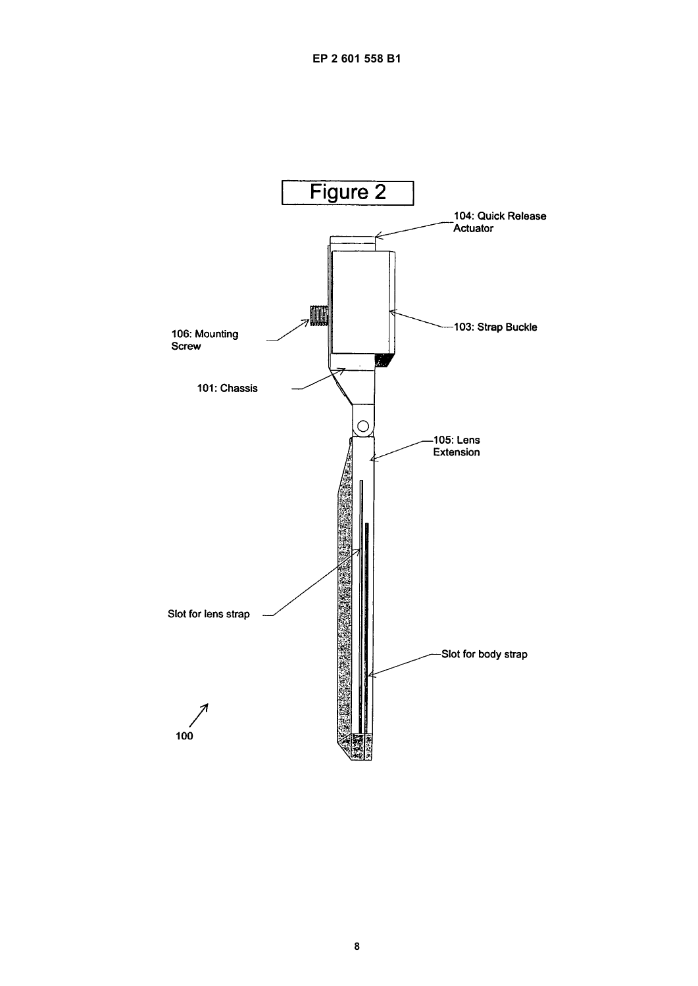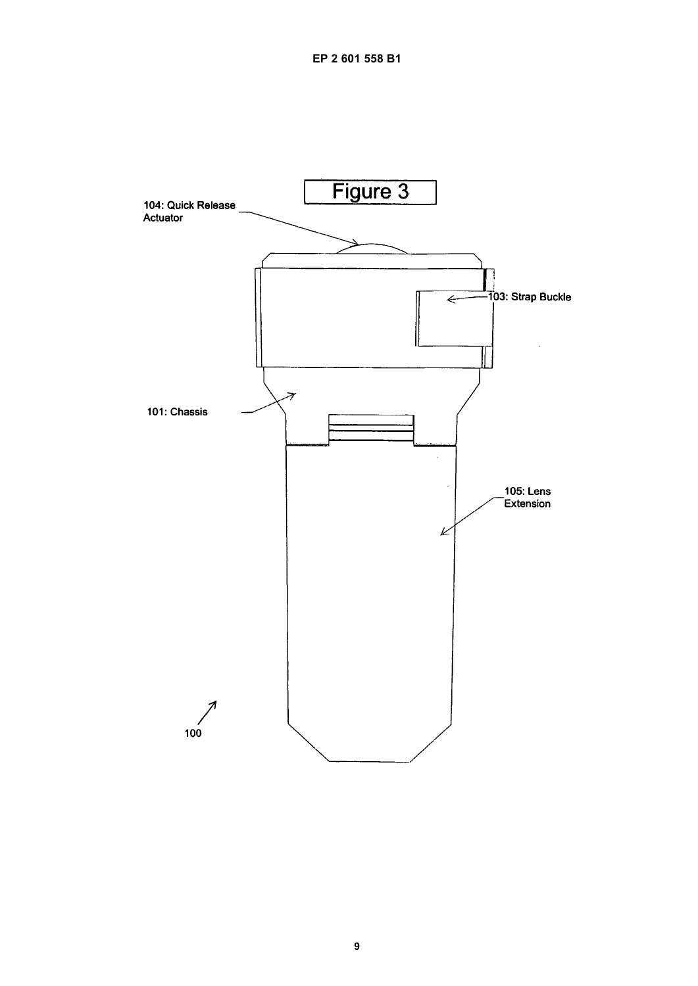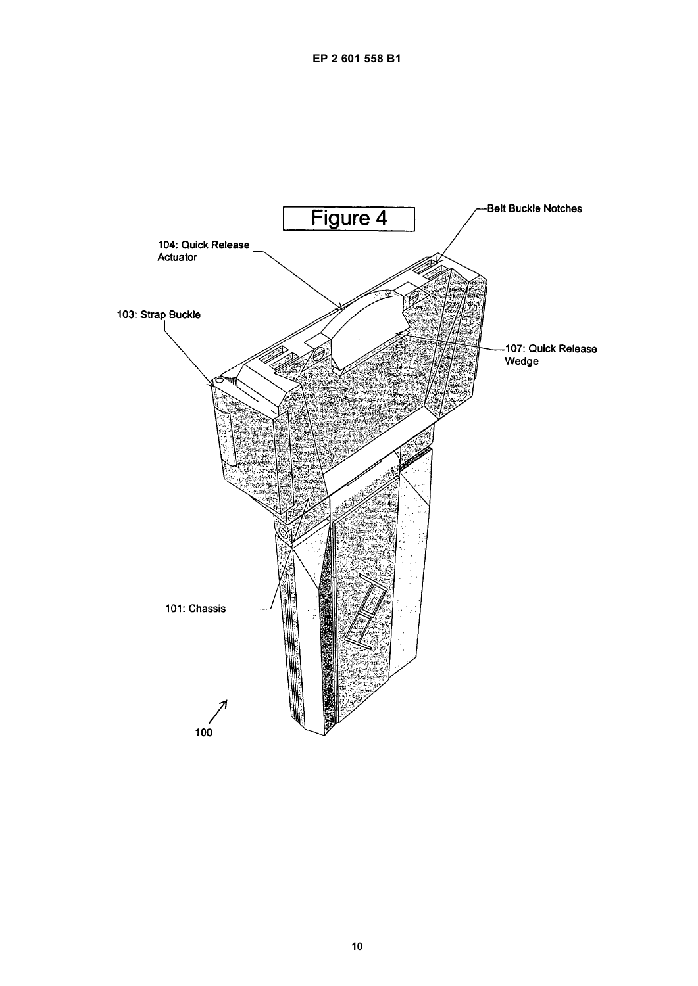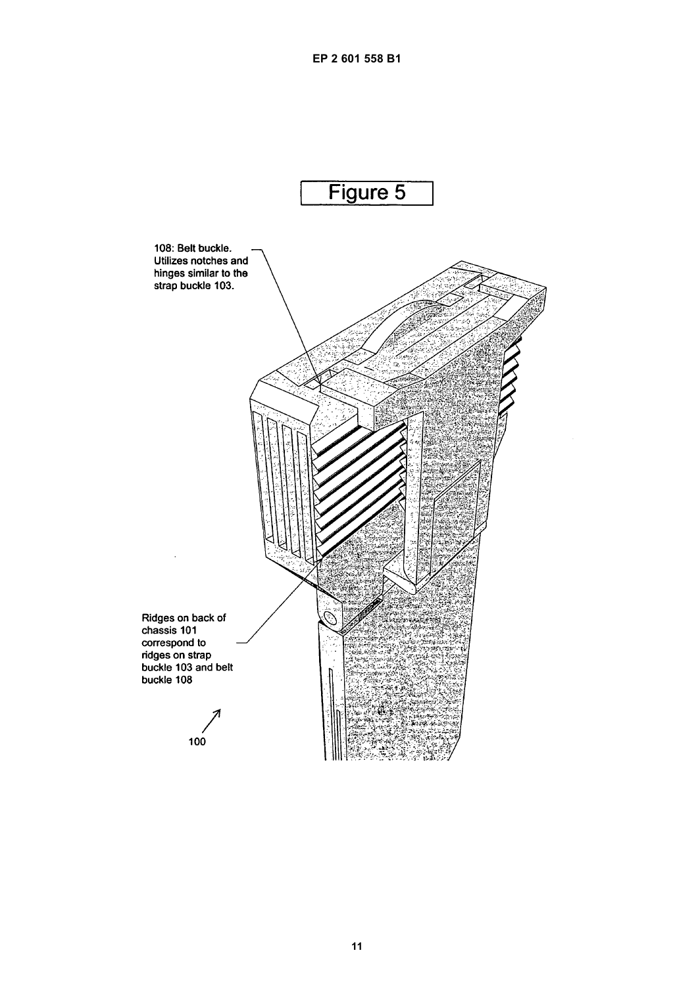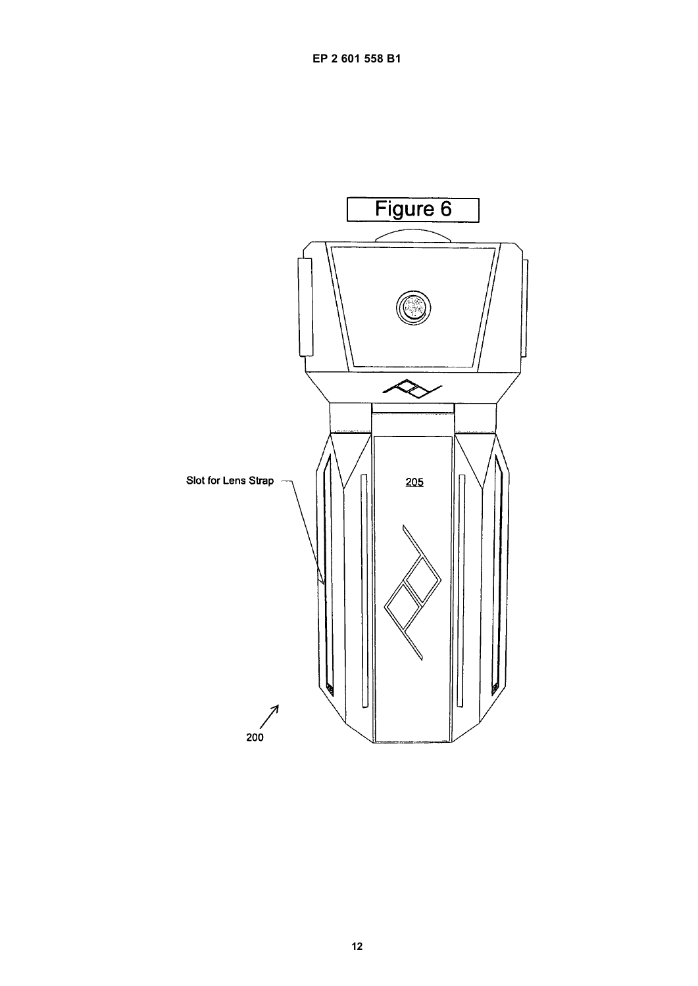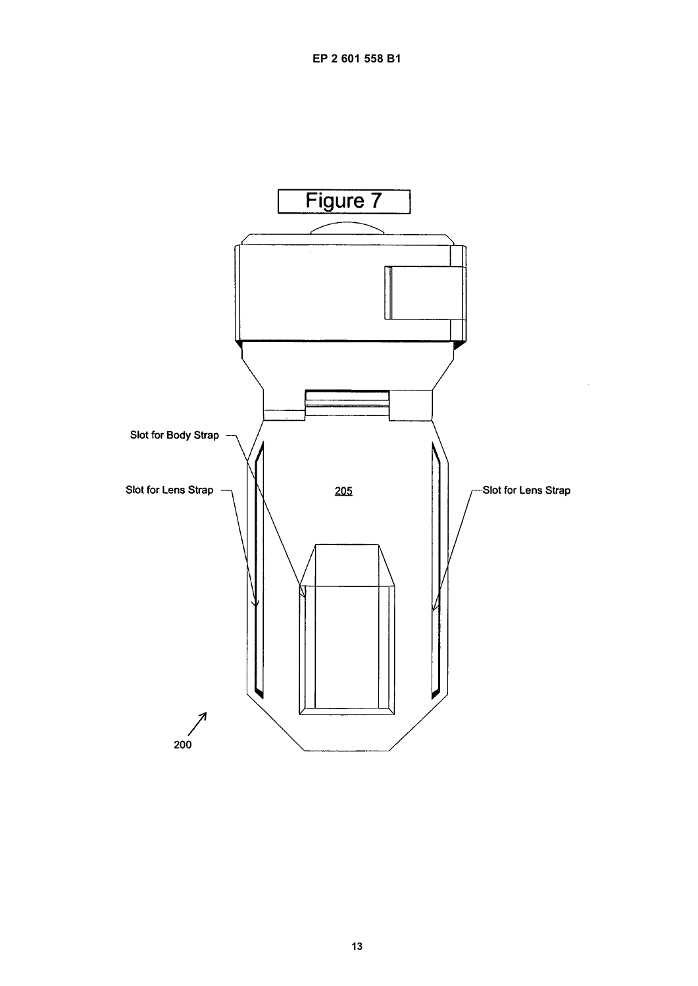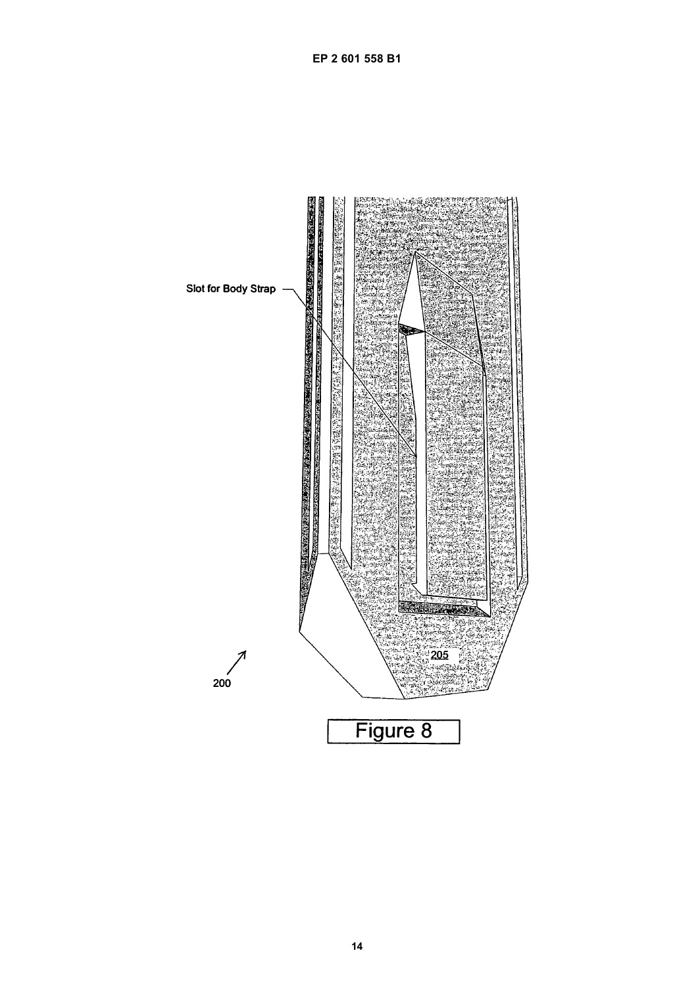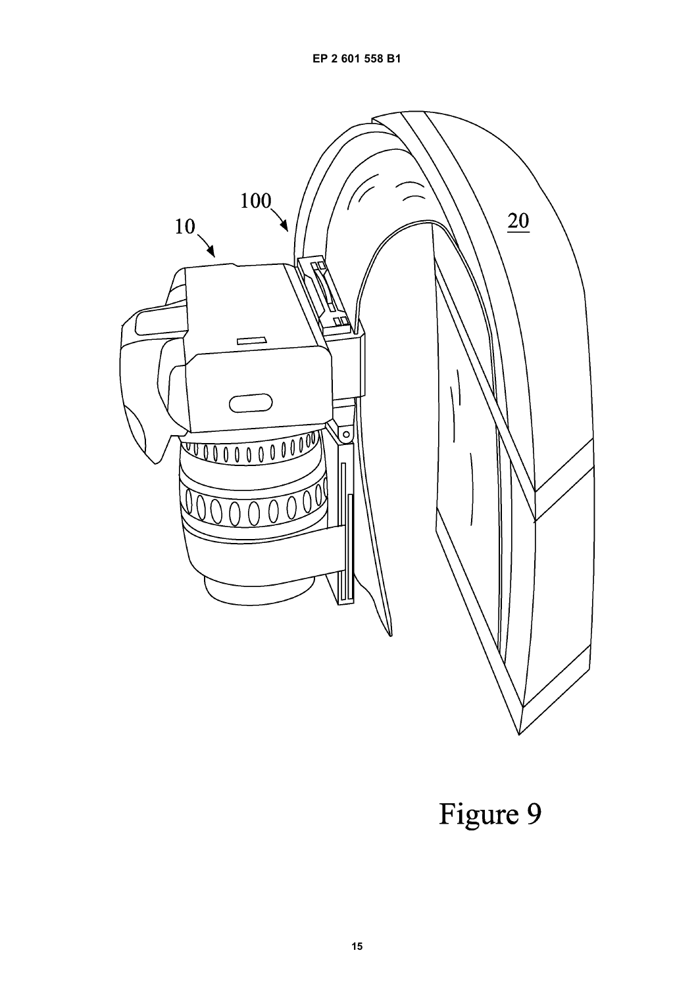

Figure 9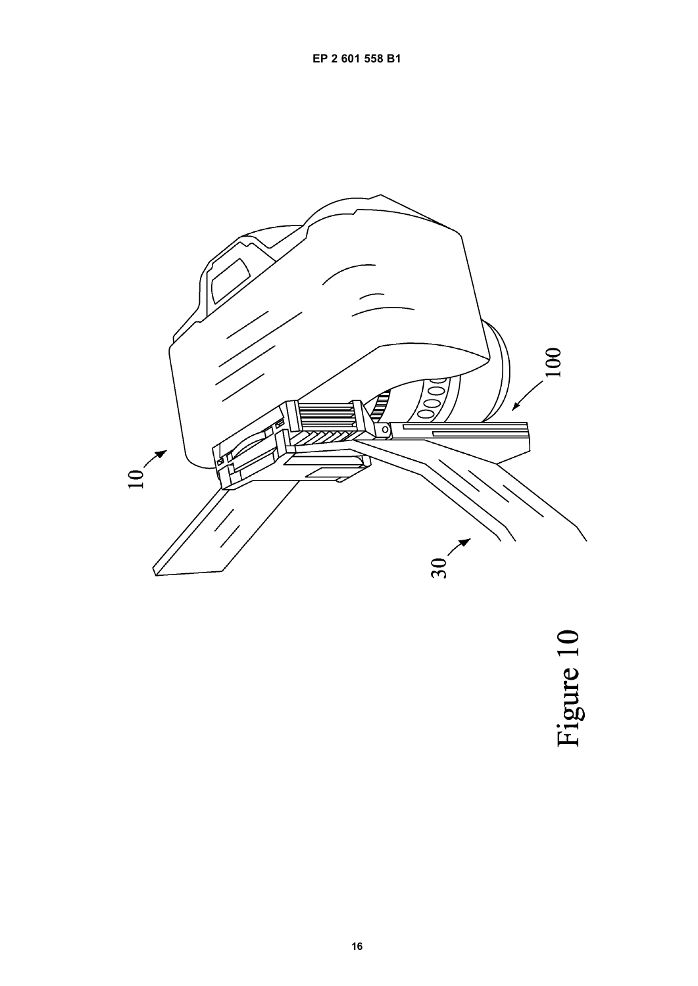

Figure 10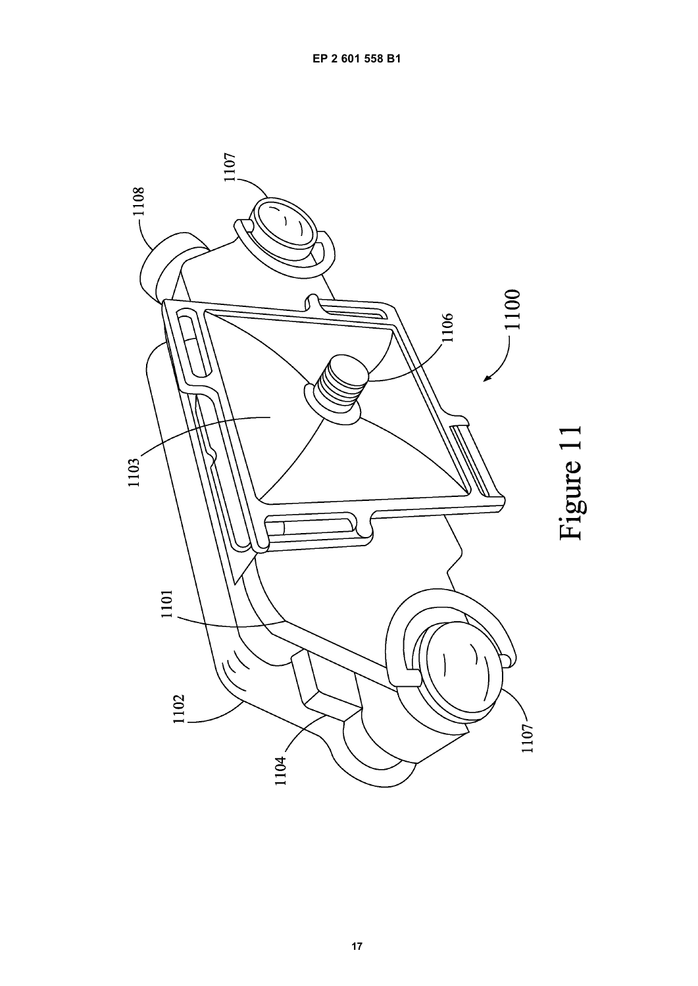

Figure 11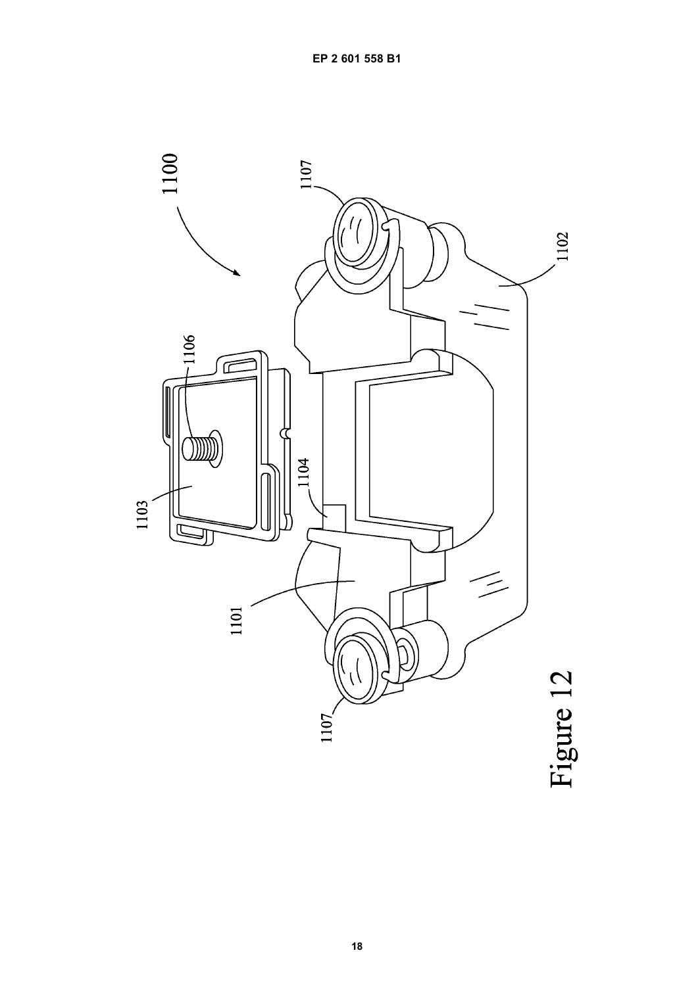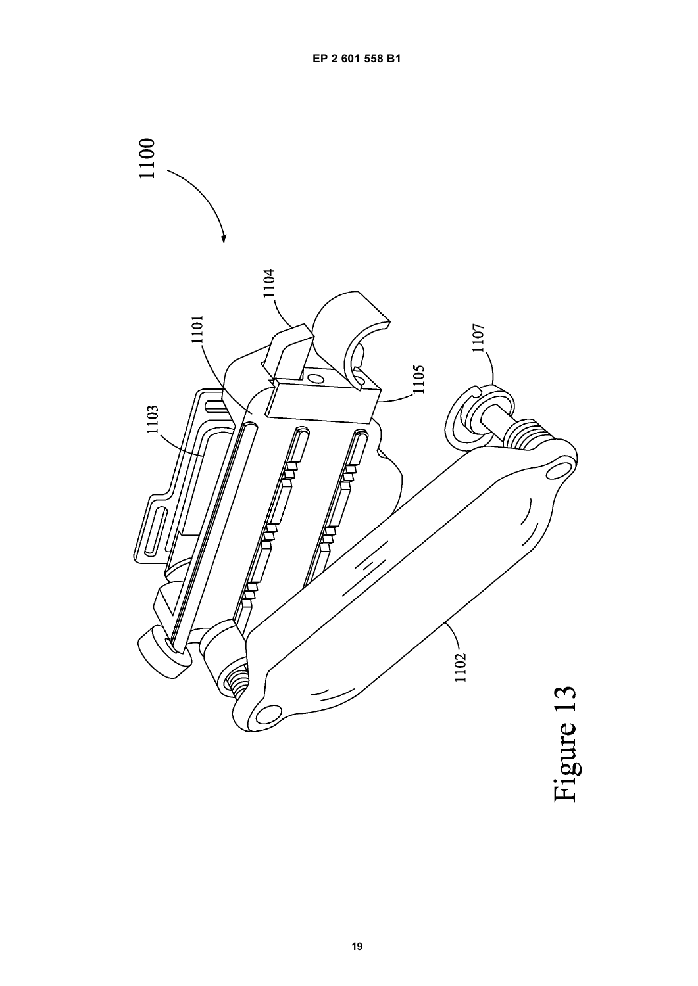